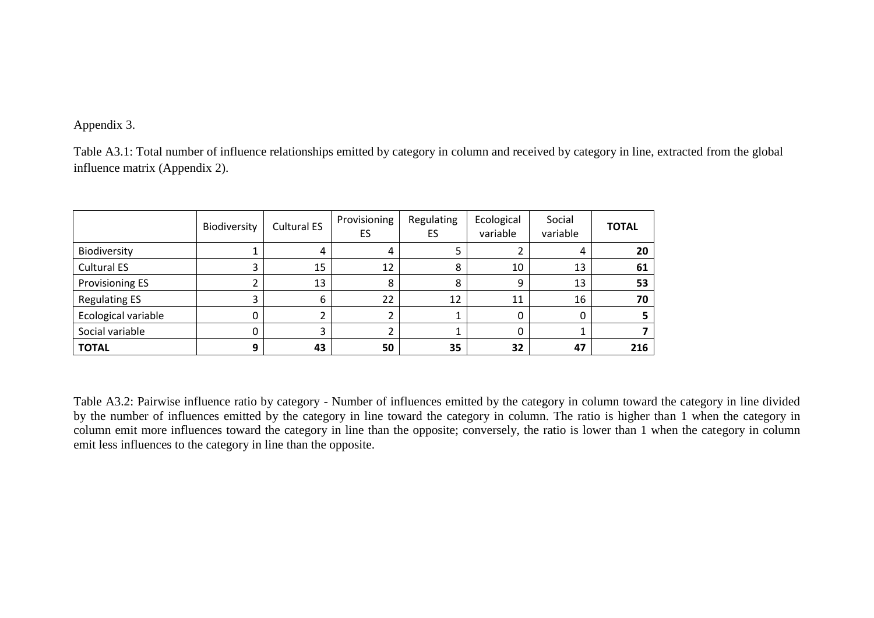## Appendix 3.

Table A3.1: Total number of influence relationships emitted by category in column and received by category in line, extracted from the global influence matrix (Appendix 2).

|                        | Biodiversity | <b>Cultural ES</b> | Provisioning<br>ES | Regulating<br>ES | Ecological<br>variable | Social<br>variable | <b>TOTAL</b> |
|------------------------|--------------|--------------------|--------------------|------------------|------------------------|--------------------|--------------|
| Biodiversity           |              | 4                  | 4                  |                  |                        | 4                  | 20           |
| <b>Cultural ES</b>     |              | 15                 | 12                 | 8                | 10                     | 13                 | 61           |
| <b>Provisioning ES</b> |              | 13                 | 8                  | 8                | 9                      | 13                 | 53           |
| <b>Regulating ES</b>   |              | 6                  | 22                 | 12               | 11                     | 16                 | 70           |
| Ecological variable    |              |                    |                    |                  | 0                      |                    |              |
| Social variable        |              | 3                  |                    |                  | 0                      |                    |              |
| <b>TOTAL</b>           | 9            | 43                 | 50                 | 35               | 32                     | 47                 | 216          |

Table A3.2: Pairwise influence ratio by category - Number of influences emitted by the category in column toward the category in line divided by the number of influences emitted by the category in line toward the category in column. The ratio is higher than 1 when the category in column emit more influences toward the category in line than the opposite; conversely, the ratio is lower than 1 when the category in column emit less influences to the category in line than the opposite.